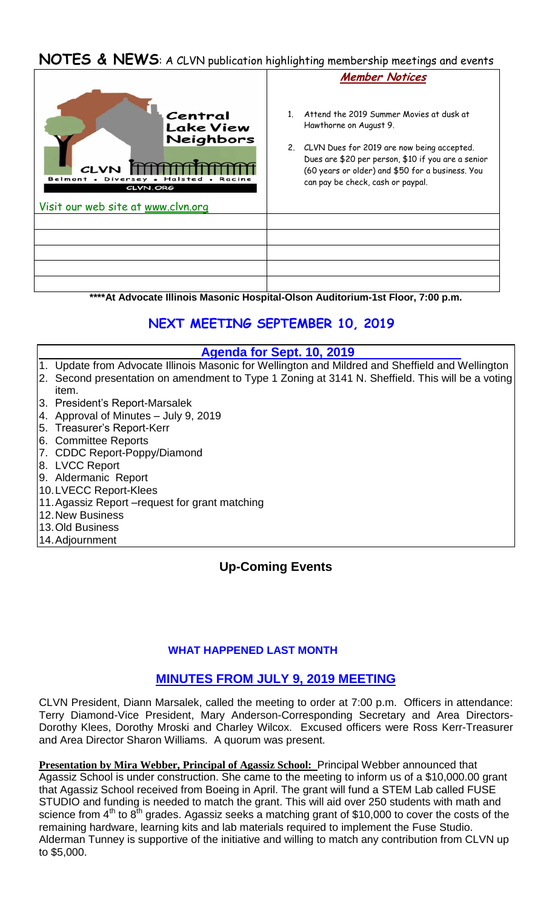## **NOTES & NEWS**: A CLVN publication highlighting membership meetings and events

|                                                                                                                              | <b>Member Notices</b>                                                                                                                                                                                                                                              |
|------------------------------------------------------------------------------------------------------------------------------|--------------------------------------------------------------------------------------------------------------------------------------------------------------------------------------------------------------------------------------------------------------------|
| Central<br><b>Lake View</b><br>Neighbors<br><b>CLVN</b><br>Belmont<br>Dive<br>CLVN.ORG<br>Visit our web site at www.clvn.org | Attend the 2019 Summer Movies at dusk at<br>Hawthorne on August 9.<br>2. CLVN Dues for 2019 are now being accepted.<br>Dues are \$20 per person, \$10 if you are a senior<br>(60 years or older) and \$50 for a business. You<br>can pay be check, cash or paypal. |
|                                                                                                                              |                                                                                                                                                                                                                                                                    |
|                                                                                                                              |                                                                                                                                                                                                                                                                    |
|                                                                                                                              |                                                                                                                                                                                                                                                                    |
|                                                                                                                              |                                                                                                                                                                                                                                                                    |
|                                                                                                                              |                                                                                                                                                                                                                                                                    |

**\*\*\*\*At Advocate Illinois Masonic Hospital-Olson Auditorium-1st Floor, 7:00 p.m.**

# **NEXT MEETING SEPTEMBER 10, 2019**

#### **Agenda for Sept. 10, 2019**

- 1. Update from Advocate Illinois Masonic for Wellington and Mildred and Sheffield and Wellington 2. Second presentation on amendment to Type 1 Zoning at 3141 N. Sheffield. This will be a voting item.
- 3. President's Report-Marsalek
- 4. Approval of Minutes July 9, 2019
- 5. Treasurer's Report-Kerr
- 6. Committee Reports
- 7. CDDC Report-Poppy/Diamond
- 8. LVCC Report
- 9. Aldermanic Report
- 10.LVECC Report-Klees
- 11.Agassiz Report –request for grant matching
- 12.New Business
- 13.Old Business
- 14.Adjournment

## **Up-Coming Events**

#### **WHAT HAPPENED LAST MONTH**

## **MINUTES FROM JULY 9, 2019 MEETING**

CLVN President, Diann Marsalek, called the meeting to order at 7:00 p.m. Officers in attendance: Terry Diamond-Vice President, Mary Anderson-Corresponding Secretary and Area Directors-Dorothy Klees, Dorothy Mroski and Charley Wilcox. Excused officers were Ross Kerr-Treasurer and Area Director Sharon Williams. A quorum was present.

**Presentation by Mira Webber, Principal of Agassiz School:** Principal Webber announced that Agassiz School is under construction. She came to the meeting to inform us of a \$10,000.00 grant that Agassiz School received from Boeing in April. The grant will fund a STEM Lab called FUSE STUDIO and funding is needed to match the grant. This will aid over 250 students with math and science from  $4<sup>th</sup>$  to  $8<sup>th</sup>$  grades. Agassiz seeks a matching grant of \$10,000 to cover the costs of the remaining hardware, learning kits and lab materials required to implement the Fuse Studio. Alderman Tunney is supportive of the initiative and willing to match any contribution from CLVN up to \$5,000.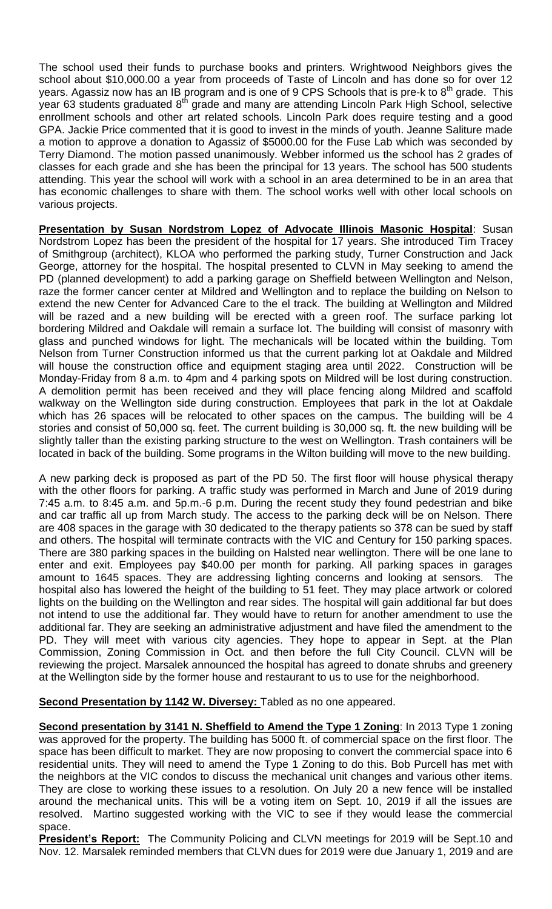The school used their funds to purchase books and printers. Wrightwood Neighbors gives the school about \$10,000.00 a year from proceeds of Taste of Lincoln and has done so for over 12 years. Agassiz now has an IB program and is one of 9 CPS Schools that is pre-k to  $8<sup>th</sup>$  grade. This year 63 students graduated 8<sup>th</sup> grade and many are attending Lincoln Park High School, selective enrollment schools and other art related schools. Lincoln Park does require testing and a good GPA. Jackie Price commented that it is good to invest in the minds of youth. Jeanne Saliture made a motion to approve a donation to Agassiz of \$5000.00 for the Fuse Lab which was seconded by Terry Diamond. The motion passed unanimously. Webber informed us the school has 2 grades of classes for each grade and she has been the principal for 13 years. The school has 500 students attending. This year the school will work with a school in an area determined to be in an area that has economic challenges to share with them. The school works well with other local schools on various projects.

**Presentation by Susan Nordstrom Lopez of Advocate Illinois Masonic Hospital**: Susan Nordstrom Lopez has been the president of the hospital for 17 years. She introduced Tim Tracey of Smithgroup (architect), KLOA who performed the parking study, Turner Construction and Jack George, attorney for the hospital. The hospital presented to CLVN in May seeking to amend the PD (planned development) to add a parking garage on Sheffield between Wellington and Nelson, raze the former cancer center at Mildred and Wellington and to replace the building on Nelson to extend the new Center for Advanced Care to the el track. The building at Wellington and Mildred will be razed and a new building will be erected with a green roof. The surface parking lot bordering Mildred and Oakdale will remain a surface lot. The building will consist of masonry with glass and punched windows for light. The mechanicals will be located within the building. Tom Nelson from Turner Construction informed us that the current parking lot at Oakdale and Mildred will house the construction office and equipment staging area until 2022. Construction will be Monday-Friday from 8 a.m. to 4pm and 4 parking spots on Mildred will be lost during construction. A demolition permit has been received and they will place fencing along Mildred and scaffold walkway on the Wellington side during construction. Employees that park in the lot at Oakdale which has 26 spaces will be relocated to other spaces on the campus. The building will be 4 stories and consist of 50,000 sq. feet. The current building is 30,000 sq. ft. the new building will be slightly taller than the existing parking structure to the west on Wellington. Trash containers will be located in back of the building. Some programs in the Wilton building will move to the new building.

A new parking deck is proposed as part of the PD 50. The first floor will house physical therapy with the other floors for parking. A traffic study was performed in March and June of 2019 during 7:45 a.m. to 8:45 a.m. and 5p.m.-6 p.m. During the recent study they found pedestrian and bike and car traffic all up from March study. The access to the parking deck will be on Nelson. There are 408 spaces in the garage with 30 dedicated to the therapy patients so 378 can be sued by staff and others. The hospital will terminate contracts with the VIC and Century for 150 parking spaces. There are 380 parking spaces in the building on Halsted near wellington. There will be one lane to enter and exit. Employees pay \$40.00 per month for parking. All parking spaces in garages amount to 1645 spaces. They are addressing lighting concerns and looking at sensors. The hospital also has lowered the height of the building to 51 feet. They may place artwork or colored lights on the building on the Wellington and rear sides. The hospital will gain additional far but does not intend to use the additional far. They would have to return for another amendment to use the additional far. They are seeking an administrative adjustment and have filed the amendment to the PD. They will meet with various city agencies. They hope to appear in Sept. at the Plan Commission, Zoning Commission in Oct. and then before the full City Council. CLVN will be reviewing the project. Marsalek announced the hospital has agreed to donate shrubs and greenery at the Wellington side by the former house and restaurant to us to use for the neighborhood.

**Second Presentation by 1142 W. Diversey:** Tabled as no one appeared.

**Second presentation by 3141 N. Sheffield to Amend the Type 1 Zoning: In 2013 Type 1 zoning** was approved for the property. The building has 5000 ft. of commercial space on the first floor. The space has been difficult to market. They are now proposing to convert the commercial space into 6 residential units. They will need to amend the Type 1 Zoning to do this. Bob Purcell has met with the neighbors at the VIC condos to discuss the mechanical unit changes and various other items. They are close to working these issues to a resolution. On July 20 a new fence will be installed around the mechanical units. This will be a voting item on Sept. 10, 2019 if all the issues are resolved. Martino suggested working with the VIC to see if they would lease the commercial space.

**President's Report:** The Community Policing and CLVN meetings for 2019 will be Sept.10 and Nov. 12. Marsalek reminded members that CLVN dues for 2019 were due January 1, 2019 and are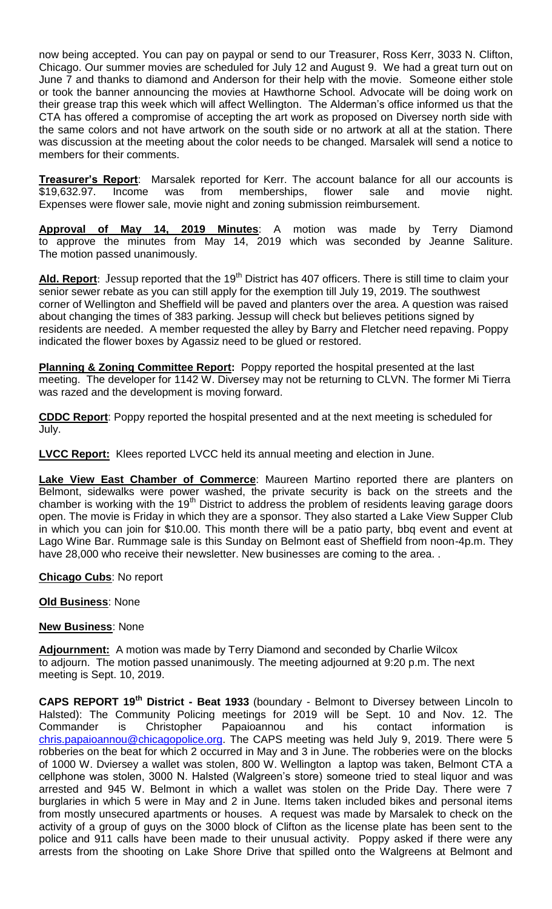now being accepted. You can pay on paypal or send to our Treasurer, Ross Kerr, 3033 N. Clifton, Chicago. Our summer movies are scheduled for July 12 and August 9. We had a great turn out on June 7 and thanks to diamond and Anderson for their help with the movie. Someone either stole or took the banner announcing the movies at Hawthorne School. Advocate will be doing work on their grease trap this week which will affect Wellington. The Alderman's office informed us that the CTA has offered a compromise of accepting the art work as proposed on Diversey north side with the same colors and not have artwork on the south side or no artwork at all at the station. There was discussion at the meeting about the color needs to be changed. Marsalek will send a notice to members for their comments.

**Treasurer's Report**: Marsalek reported for Kerr. The account balance for all our accounts is \$19,632.97. Income was from memberships, flower sale and movie night. Expenses were flower sale, movie night and zoning submission reimbursement.

**Approval of May 14, 2019 Minutes**: A motion was made by Terry Diamond to approve the minutes from May 14, 2019 which was seconded by Jeanne Saliture. The motion passed unanimously.

Ald. Report: Jessup reported that the 19<sup>th</sup> District has 407 officers. There is still time to claim your senior sewer rebate as you can still apply for the exemption till July 19, 2019. The southwest corner of Wellington and Sheffield will be paved and planters over the area. A question was raised about changing the times of 383 parking. Jessup will check but believes petitions signed by residents are needed. A member requested the alley by Barry and Fletcher need repaving. Poppy indicated the flower boxes by Agassiz need to be glued or restored.

**Planning & Zoning Committee Report:** Poppy reported the hospital presented at the last meeting. The developer for 1142 W. Diversey may not be returning to CLVN. The former Mi Tierra was razed and the development is moving forward.

**CDDC Report**: Poppy reported the hospital presented and at the next meeting is scheduled for July.

**LVCC Report:** Klees reported LVCC held its annual meeting and election in June.

**Lake View East Chamber of Commerce**: Maureen Martino reported there are planters on Belmont, sidewalks were power washed, the private security is back on the streets and the chamber is working with the 19<sup>th</sup> District to address the problem of residents leaving garage doors open. The movie is Friday in which they are a sponsor. They also started a Lake View Supper Club in which you can join for \$10.00. This month there will be a patio party, bbq event and event at Lago Wine Bar. Rummage sale is this Sunday on Belmont east of Sheffield from noon-4p.m. They have 28,000 who receive their newsletter. New businesses are coming to the area. .

**Chicago Cubs**: No report

#### **Old Business**: None

#### **New Business**: None

**Adjournment:** A motion was made by Terry Diamond and seconded by Charlie Wilcox to adjourn. The motion passed unanimously. The meeting adjourned at 9:20 p.m. The next meeting is Sept. 10, 2019.

**CAPS REPORT 19th District - Beat 1933** (boundary - Belmont to Diversey between Lincoln to Halsted): The Community Policing meetings for 2019 will be Sept. 10 and Nov. 12. The Commander is Christopher Papaioannou and his contact information is [chris.papaioannou@chicagopolice.org.](mailto:chris.papaioannou@chicagopolice.org) The CAPS meeting was held July 9, 2019. There were 5 robberies on the beat for which 2 occurred in May and 3 in June. The robberies were on the blocks of 1000 W. Dviersey a wallet was stolen, 800 W. Wellington a laptop was taken, Belmont CTA a cellphone was stolen, 3000 N. Halsted (Walgreen's store) someone tried to steal liquor and was arrested and 945 W. Belmont in which a wallet was stolen on the Pride Day. There were 7 burglaries in which 5 were in May and 2 in June. Items taken included bikes and personal items from mostly unsecured apartments or houses. A request was made by Marsalek to check on the activity of a group of guys on the 3000 block of Clifton as the license plate has been sent to the police and 911 calls have been made to their unusual activity. Poppy asked if there were any arrests from the shooting on Lake Shore Drive that spilled onto the Walgreens at Belmont and